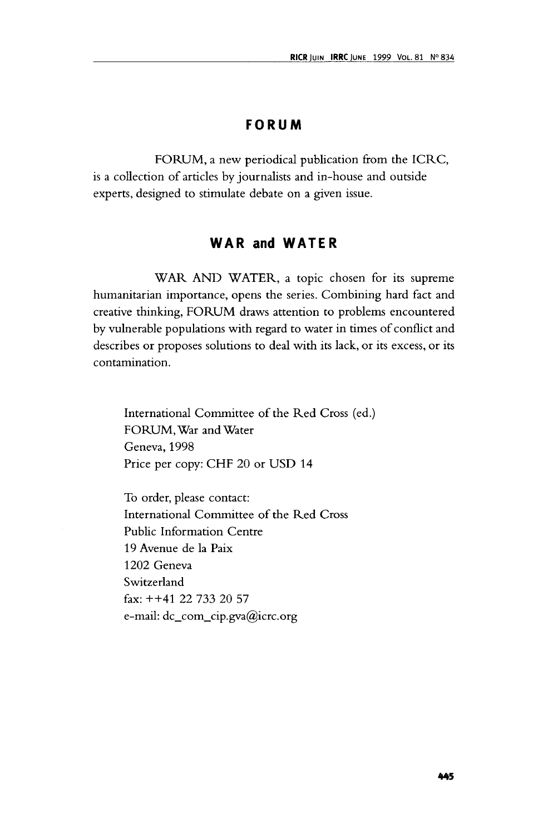## **FORUM**

FORUM, a new periodical publication from the ICRC, is a collection of articles by journalists and in-house and outside experts, designed to stimulate debate on a given issue.

## **WAR and WATER**

WAR AND WATER, a topic chosen for its supreme humanitarian importance, opens the series. Combining hard fact and creative thinking, FORUM draws attention to problems encountered by vulnerable populations with regard to water in times of conflict and describes or proposes solutions to deal with its lack, or its excess, or its contamination.

International Committee of the Red Cross (ed.) FORUM, War and Water Geneva, 1998 Price per copy: CHF 20 or USD 14

To order, please contact: International Committee of the Red Cross Public Information Centre 19 Avenue de la Paix 1202 Geneva Switzerland fax: ++41 22 733 20 57 e-mail: dc\_com\_cip.gva@icrc.org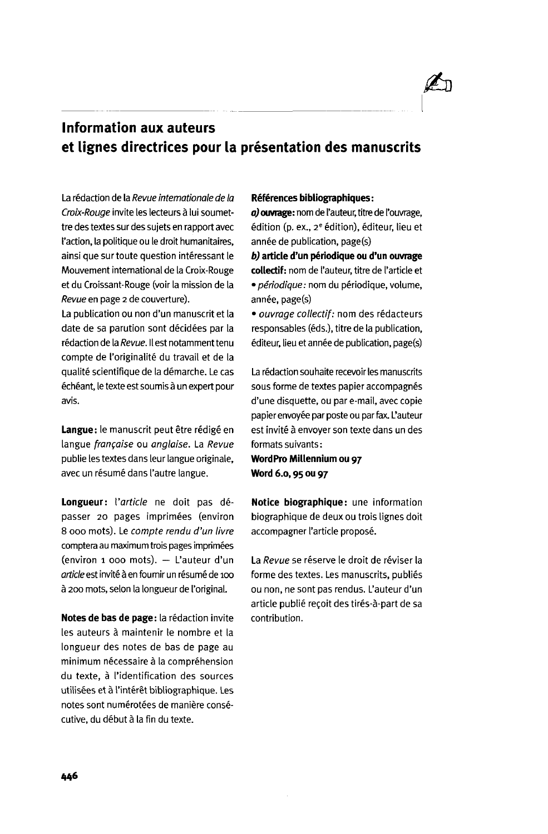

# **Information aux auteurs et lignes directrices pour la presentation des manuscrits**

La rédaction de la Revue internationale de la Croix-Rouge invite les lecteurs à lui soumettre des textes sur des sujets en rapport avec faction, la politique ou le droit humanitaires, ainsi que sur toute question intéressant le Mouvement international de la Croix-Rouge et du Croissant-Rouge (voir la mission de la Revue en page 2 de couverture).

La publication ou non d'un manuscrit et la date de sa parution sont decidees par la rédaction de la Revue. Il est notamment tenu compte de l'originalité du travail et de la qualite scientifique de la demarche. Le cas échéant, le texte est soumis à un expert pour avis.

Langue: le manuscrit peut être rédigé en langue française ou anglaise. La Revue publie les textes dans leur langue originale, avec un résumé dans l'autre langue.

**Longueur:** {'article ne doit pas depasser 20 pages imprimées (environ 8 000 mots). Le compte rendu d'un livre comptera au maximum trois pages imprimees (environ 1 000 mots). — L'auteur d'un article est invité à en fournir un résumé de 100 a 200 mots, selon la longueur de 1'original.

**Notes de bas de page:** la redaction invite les auteurs à maintenir le nombre et la longueur des notes de bas de page au minimum nécessaire à la compréhension du texte, a I'identification des sources utilisées et à l'intérêt bibliographique. Les notes sont numérotées de manière consécutive, du début à la fin du texte.

### **References bibliographiques:**

**aj ouvrage:** nom de l'auteur, titre de I'ouvrage, édition (p. ex., 2ª édition), éditeur, lieu et année de publication, page(s)

**b) article d'un periodique ou d'un ouvrage collectif**: nom de l'auteur, titre de I'article et · périodique : nom du périodique, volume, année, page(s)

• ouvrage collectif: nom des redacteurs responsables (eds.), titre de la publication, éditeur, lieu et année de publication, page(s)

La rédaction souhaite recevoir les manuscrits sous forme de textes papier accompagnés d'une disquette, ou par e-mail, avec copie papier envoyée par poste ou par fax. L'auteur est invité à envoyer son texte dans un des formats suivants:

**WordPro Millennium ou 97 Word 6.0,95 ou 97**

**Notice biographique**: une information biographique de deux ou trois lignes doit accompagner I'article propose.

La Revue se réserve le droit de réviser la forme des textes. Les manuscrits, publiés ou non, ne sont pas rendus. L'auteur d'un article publié reçoit des tirés-à-part de sa contribution.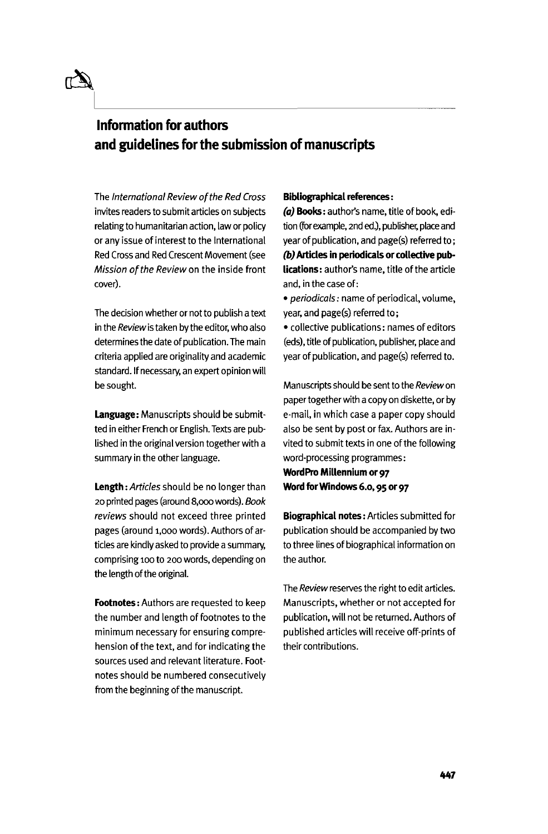# **Information for authors and guidelines for the submission of manuscripts**

The International Review of the Red Cross invites readers to submit articles on subjects relating to humanitarian action, law or policy or any issue of interest to the International Red Cross and Red Crescent Movement (see Mission of the Review on the inside front cover).

The decision whether or not to publish a text in the Review is taken by the editor, who also determines the date of publication. The main criteria applied are originality and academic standard. If necessary, an expert opinion will be sought.

**Language:** Manuscripts should be submitted in either French or English. Texts are published in the original version together with a summary in the other language.

**Length**: Articles should be no longer than 20 printed pages (around 8,000 words). Book reviews should not exceed three printed pages (around 1,000 words). Authors of articles are kindly asked to provide a summary, comprising 100 to 200 words, depending on the length of the original.

**Footnotes:** Authors are requested to keep the number and length of footnotes to the minimum necessary for ensuring comprehension of the text, and for indicating the sources used and relevant literature. Footnotes should be numbered consecutively from the beginning of the manuscript.

### **Bibliographical references:**

**(a) Books:** author's name, title of book, edition (for example, 2nd ed.), publisher, place and year of publication, and page(s) referred to; **(b) Articles in periodicals or collective publications:** author's name, title of the article and, in the case of:

• periodicals: name of periodical, volume, year, and page(s) referred to;

• collective publications: names of editors (eds), title of publication, publisher, place and year of publication, and page(s) referred to.

Manuscripts should be sent to the Review on paper together with a copy on diskette, or by e-mail, in which case a paper copy should also be sent by post or fax. Authors are invited to submit texts in one of the following word-processing programmes:

**WordPro Millennium or 97 Word for Windows 6.0,95 or 97**

**Biographical notes:** Articles submitted for publication should be accompanied by two to three lines of biographical information on the author.

The Review reserves the right to edit articles. Manuscripts, whether or not accepted for publication, will not be returned. Authors of published articles will receive off-prints of their contributions.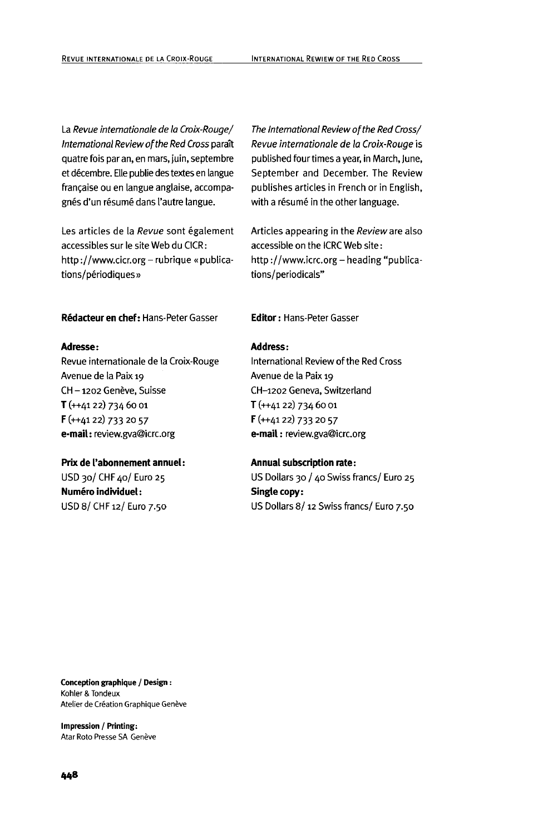La Revue internationale de la Croix-Rouge/ International Review of the Red Cross paratt quatre fois par an, en mars, juin, septembre et decembre. Elle publie des textes en langue francaise ou en langue anglaise, accompagnés d'un résumé dans l'autre langue.

Les articles de la Revue sont également accessibles sur le site Web du CICR: http://www.cicr.org - rubrique « publications/périodiques»

**Redacteuren chef:** Hans-Peter Gasser **Editor**: Hans-Peter Gasser

### **Adresse:**

Revue intemationale de la Croix-Rouge Avenue de la Paix 19 CH-1202 Genève, Suisse T (++4122) 734 60 01 F (++4122) 733 20 57 **e-mail:** review.gva@icrc.org

#### **Prix de I'abonnement annuel**:

USD 30/ CHF 40/ Euro 25 **Numéro individuel:** USD 8/CHF12/Euro 7.50 The International Review of the Red Cross/ Revue intemationale de la Croix-Rouge is published four times a year, in March, June, September and December. The Review publishes articles in French or in English, with a résumé in the other language.

Articles appearing in the Review are also accessible on the ICRC Web site: http ://www.icrc.org- heading "publications/periodicals"

### **Address:**

International Review of the Red Cross Avenue de la Paix 19 CH-1202 Geneva, Switzerland T (++4122) 734 60 01 F (++4122) 733 20 57 **e-mail**: review.gva@icrc.org

### **Annual subscription rate:**

US Dollars 30 / 40 Swiss francs/ Euro 25 **Single copy:** US Dollars 8/ 12 Swiss francs/ Euro 7.50

**Conception graphique / Design**: Kohler & Tondeux Atelier de Création Graphique Genève

**Impression / Printing:** Atar Roto Presse SA Genève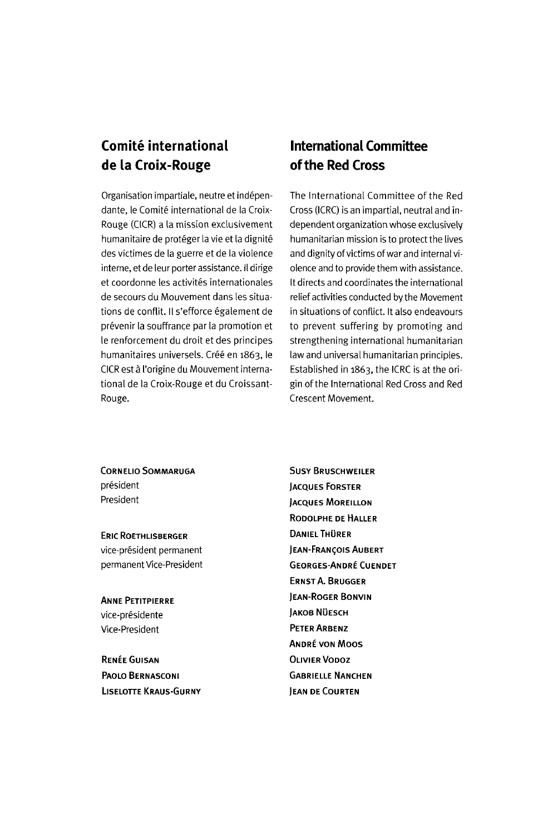# **Comite international de la Croix-Rouge**

Organisation impartiale, neutre et independante, le Comité international de la Croix-Rouge (CICR) a la mission exclusivement humanitaire de protéger la vie et la dignité des victimes de la guerre et de la violence interne, et de leur porter assistance. II dirige et coordonne les activites internationales de secours du Mouvement dans les situations de conflit. Il s'efforce également de prevenir la souffrance par la promotion et le renforcement du droit et des principes humanitaires universels. Créé en 1863, le CICR est a I'origine du Mouvement international de la Croix-Rouge et du Croissant-Rouge.

# **International Committee of the Red Cross**

The International Committee of the Red Cross (ICRC) is an impartial, neutral and independent organization whose exclusively humanitarian mission is to protect the lives and dignity of victims of war and internal violence and to provide them with assistance. It directs and coordinates the international relief activities conducted by the Movement in situations of conflict. It also endeavours to prevent suffering by promoting and strengthening international humanitarian law and universal humanitarian principles. Established in 1863, the ICRC is at the origin of the International Red Cross and Red Crescent Movement.

**CORNELIO SOMMARUGA** president President

ERIC ROETHLISBERGER vice-president permanent permanent Vice-President

ANNE PETITPIERRE vice-présidente Vice-President

RENEEGUISAN PAOLO BERNASCONI LLSELOTTE KRAUS-GURNY SUSY BRUSCHWEILER JACQUES FORSTER JACQUES MOREILLON RODOLPHE DE HALLER DANIEL THÜRER JEAN-FRANCOIS AUBERT GEORGES-ANDRE CUENDET ERNST A. BRUGGER JEAN-ROGER BONVIN **JAKOB NÜESCH** PETER ARBENZ ANDRE VON MOOS OLIVIER VODOZ GABRIELLE NANCHEN JEAN DE COURTEN